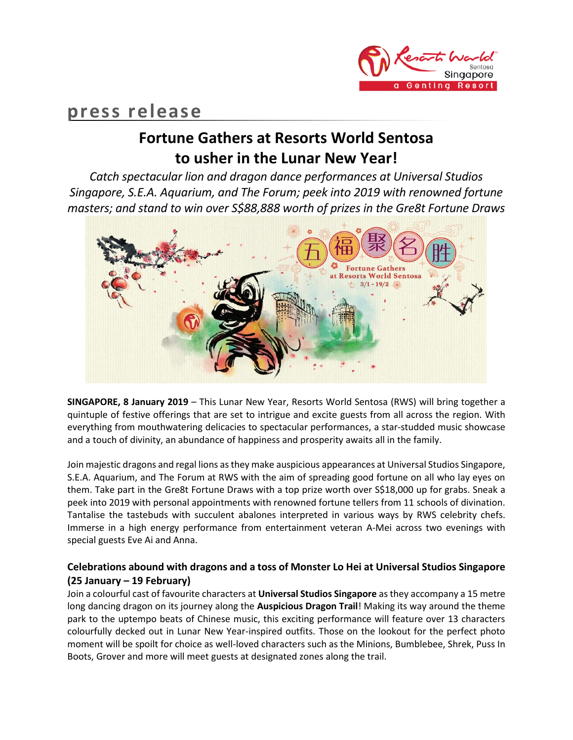

# **press release**

## **Fortune Gathers at Resorts World Sentosa to usher in the Lunar New Year!**

*Catch spectacular lion and dragon dance performances at Universal Studios Singapore, S.E.A. Aquarium, and The Forum; peek into 2019 with renowned fortune masters; and stand to win over S\$88,888 worth of prizes in the Gre8t Fortune Draws* 



**SINGAPORE, 8 January 2019** – This Lunar New Year, Resorts World Sentosa (RWS) will bring together a quintuple of festive offerings that are set to intrigue and excite guests from all across the region. With everything from mouthwatering delicacies to spectacular performances, a star-studded music showcase and a touch of divinity, an abundance of happiness and prosperity awaits all in the family.

Join majestic dragons and regal lions as they make auspicious appearances at Universal Studios Singapore, S.E.A. Aquarium, and The Forum at RWS with the aim of spreading good fortune on all who lay eyes on them. Take part in the Gre8t Fortune Draws with a top prize worth over S\$18,000 up for grabs. Sneak a peek into 2019 with personal appointments with renowned fortune tellers from 11 schools of divination. Tantalise the tastebuds with succulent abalones interpreted in various ways by RWS celebrity chefs. Immerse in a high energy performance from entertainment veteran A-Mei across two evenings with special guests Eve Ai and Anna.

## **Celebrations abound with dragons and a toss of Monster Lo Hei at Universal Studios Singapore (25 January – 19 February)**

Join a colourful cast of favourite characters at **Universal Studios Singapore** as they accompany a 15 metre long dancing dragon on its journey along the **Auspicious Dragon Trail**! Making its way around the theme park to the uptempo beats of Chinese music, this exciting performance will feature over 13 characters colourfully decked out in Lunar New Year-inspired outfits. Those on the lookout for the perfect photo moment will be spoilt for choice as well-loved characters such as the Minions, Bumblebee, Shrek, Puss In Boots, Grover and more will meet guests at designated zones along the trail.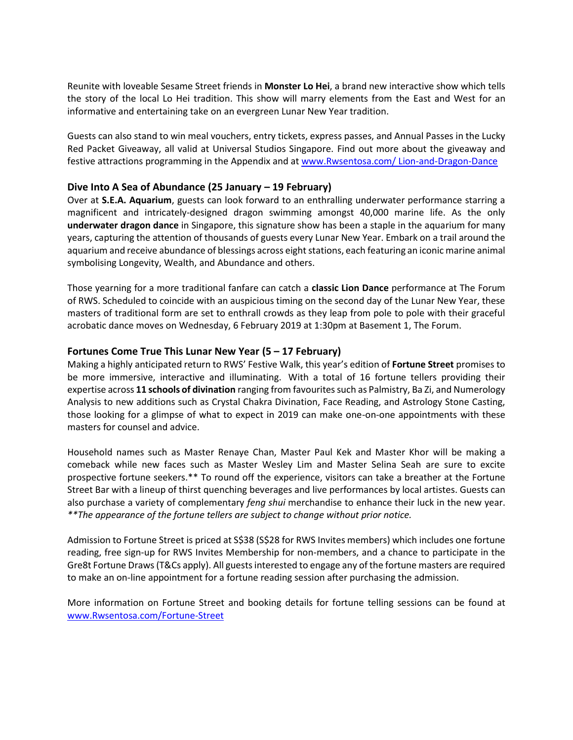Reunite with loveable Sesame Street friends in **Monster Lo Hei**, a brand new interactive show which tells the story of the local Lo Hei tradition. This show will marry elements from the East and West for an informative and entertaining take on an evergreen Lunar New Year tradition.

Guests can also stand to win meal vouchers, entry tickets, express passes, and Annual Passes in the Lucky Red Packet Giveaway, all valid at Universal Studios Singapore. Find out more about the giveaway and festive attractions programming in the Appendix and at www.Rwsentosa.com/Lion-and-Dragon-Dance

## **Dive Into A Sea of Abundance (25 January – 19 February)**

Over at **S.E.A. Aquarium**, guests can look forward to an enthralling underwater performance starring a magnificent and intricately-designed dragon swimming amongst 40,000 marine life. As the only **underwater dragon dance** in Singapore, this signature show has been a staple in the aquarium for many years, capturing the attention of thousands of guests every Lunar New Year. Embark on a trail around the aquarium and receive abundance of blessings across eight stations, each featuring an iconic marine animal symbolising Longevity, Wealth, and Abundance and others.

Those yearning for a more traditional fanfare can catch a **classic Lion Dance** performance at The Forum of RWS. Scheduled to coincide with an auspicious timing on the second day of the Lunar New Year, these masters of traditional form are set to enthrall crowds as they leap from pole to pole with their graceful acrobatic dance moves on Wednesday, 6 February 2019 at 1:30pm at Basement 1, The Forum.

### **Fortunes Come True This Lunar New Year (5 – 17 February)**

Making a highly anticipated return to RWS' Festive Walk, this year's edition of **Fortune Street** promises to be more immersive, interactive and illuminating. With a total of 16 fortune tellers providing their expertise across **11 schools of divination** ranging from favourites such as Palmistry, Ba Zi, and Numerology Analysis to new additions such as Crystal Chakra Divination, Face Reading, and Astrology Stone Casting, those looking for a glimpse of what to expect in 2019 can make one-on-one appointments with these masters for counsel and advice.

Household names such as Master Renaye Chan, Master Paul Kek and Master Khor will be making a comeback while new faces such as Master Wesley Lim and Master Selina Seah are sure to excite prospective fortune seekers.\*\* To round off the experience, visitors can take a breather at the Fortune Street Bar with a lineup of thirst quenching beverages and live performances by local artistes. Guests can also purchase a variety of complementary *feng shui* merchandise to enhance their luck in the new year. *\*\*The appearance of the fortune tellers are subject to change without prior notice.*

Admission to Fortune Street is priced at S\$38 (S\$28 for RWS Invites members) which includes one fortune reading, free sign-up for RWS Invites Membership for non-members, and a chance to participate in the Gre8t Fortune Draws(T&Cs apply). All guests interested to engage any of the fortune masters are required to make an on-line appointment for a fortune reading session after purchasing the admission.

More information on Fortune Street and booking details for fortune telling sessions can be found at <www.Rwsentosa.com/Fortune-Street>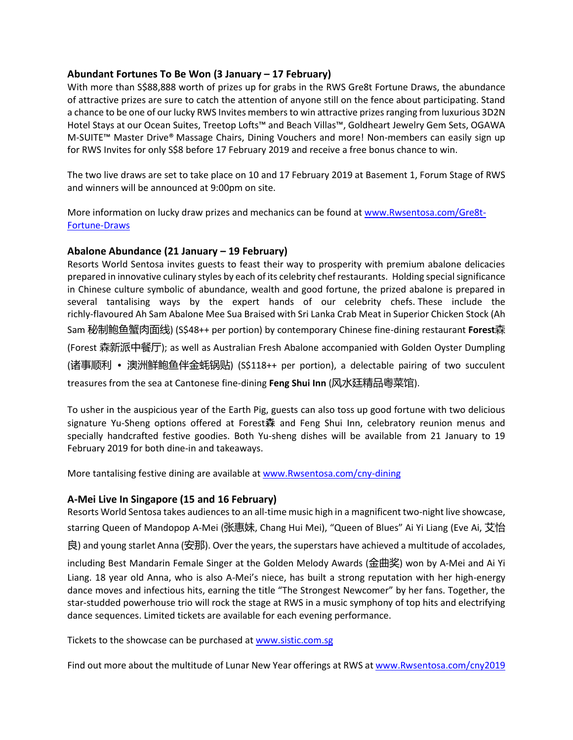### **Abundant Fortunes To Be Won (3 January – 17 February)**

With more than S\$88,888 worth of prizes up for grabs in the RWS Gre8t Fortune Draws, the abundance of attractive prizes are sure to catch the attention of anyone still on the fence about participating. Stand a chance to be one of our lucky RWS Invites members to win attractive prizes ranging from luxurious 3D2N Hotel Stays at our Ocean Suites, Treetop Lofts™ and Beach Villas™, Goldheart Jewelry Gem Sets, OGAWA M-SUITE™ Master Drive® Massage Chairs, Dining Vouchers and more! Non-members can easily sign up for RWS Invites for only S\$8 before 17 February 2019 and receive a free bonus chance to win.

The two live draws are set to take place on 10 and 17 February 2019 at Basement 1, Forum Stage of RWS and winners will be announced at 9:00pm on site.

More information on lucky draw prizes and mechanics can be found a[t www.Rwsentosa.com/Gre8t-](www.Rwsentosa.com/Gre8t-Fortune-Draws)[Fortune-Draws](www.Rwsentosa.com/Gre8t-Fortune-Draws)

## **Abalone Abundance (21 January – 19 February)**

Resorts World Sentosa invites guests to feast their way to prosperity with premium abalone delicacies prepared in innovative culinary styles by each of its celebrity chef restaurants. Holding special significance in Chinese culture symbolic of abundance, wealth and good fortune, the prized abalone is prepared in several tantalising ways by the expert hands of our celebrity chefs. These include the richly-flavoured Ah Sam Abalone Mee Sua Braised with Sri Lanka Crab Meat in Superior Chicken Stock (Ah Sam 秘制鲍鱼蟹肉面线) (S\$48++ per portion) by contemporary Chinese fine-dining restaurant **Forest**森 (Forest 森新派中餐厅); as well as Australian Fresh Abalone accompanied with Golden Oyster Dumpling (诸事顺利 • 澳洲鲜鲍鱼伴金蚝锅贴) (S\$118++ per portion), a delectable pairing of two succulent treasures from the sea at Cantonese fine-dining **Feng Shui Inn** (风水廷精品粤菜馆).

To usher in the auspicious year of the Earth Pig, guests can also toss up good fortune with two delicious signature Yu-Sheng options offered at Forest森 and Feng Shui Inn, celebratory reunion menus and specially handcrafted festive goodies. Both Yu-sheng dishes will be available from 21 January to 19 February 2019 for both dine-in and takeaways.

More tantalising festive dining are available at<www.Rwsentosa.com/cny-dining>

## **A-Mei Live In Singapore (15 and 16 February)**

Resorts World Sentosa takes audiences to an all-time music high in a magnificent two-night live showcase, starring Queen of Mandopop A-Mei (张惠妹, Chang Hui Mei), "Queen of Blues" Ai Yi Liang (Eve Ai, 艾怡  $\dot{\mathbb{E}}$ ) and young starlet Anna (安那). Over the years, the superstars have achieved a multitude of accolades, including Best Mandarin Female Singer at the Golden Melody Awards (金曲奖) won by A-Mei and Ai Yi

Liang. 18 year old Anna, who is also A-Mei's niece, has built a strong reputation with her high-energy dance moves and infectious hits, earning the title "The Strongest Newcomer" by her fans. Together, the star-studded powerhouse trio will rock the stage at RWS in a music symphony of top hits and electrifying dance sequences. Limited tickets are available for each evening performance.

Tickets to the showcase can be purchased at [www.sistic.com.sg](http://www.sistic.com.sg/)

Find out more about the multitude of Lunar New Year offerings at RWS a[t www.Rwsentosa.com/cny2019](http://www.rwsentosa.com/cny2019)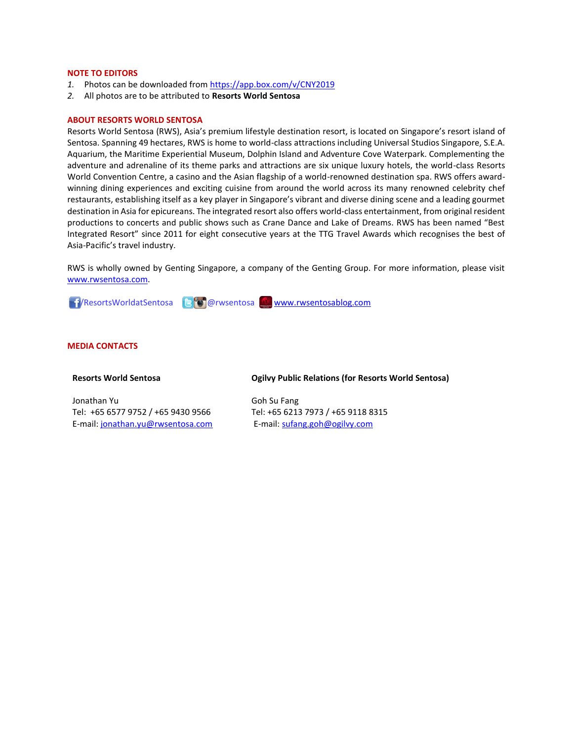#### **NOTE TO EDITORS**

- *1.* Photos can be downloaded fro[m https://app.box.com/v/CNY2019](https://app.box.com/v/CNY2019)
- *2.* All photos are to be attributed to **Resorts World Sentosa**

#### **ABOUT RESORTS WORLD SENTOSA**

Resorts World Sentosa (RWS), Asia's premium lifestyle destination resort, is located on Singapore's resort island of Sentosa. Spanning 49 hectares, RWS is home to world-class attractions including Universal Studios Singapore, S.E.A. Aquarium, the Maritime Experiential Museum, Dolphin Island and Adventure Cove Waterpark. Complementing the adventure and adrenaline of its theme parks and attractions are six unique luxury hotels, the world-class Resorts World Convention Centre, a casino and the Asian flagship of a world-renowned destination spa. RWS offers awardwinning dining experiences and exciting cuisine from around the world across its many renowned celebrity chef restaurants, establishing itself as a key player in Singapore's vibrant and diverse dining scene and a leading gourmet destination in Asia for epicureans. The integrated resort also offers world-class entertainment, from original resident productions to concerts and public shows such as Crane Dance and Lake of Dreams. RWS has been named "Best Integrated Resort" since 2011 for eight consecutive years at the TTG Travel Awards which recognises the best of Asia-Pacific's travel industry.

RWS is wholly owned by Genting Singapore, a company of the Genting Group. For more information, please visit [www.rwsentosa.com.](http://www.rwsentosa.com/)



#### **MEDIA CONTACTS**

#### **Resorts World Sentosa**

Jonathan Yu Tel: +65 6577 9752 / +65 9430 9566 E-mail: jonathan.yu@rwsentosa.com **Ogilvy Public Relations (for Resorts World Sentosa)**

Goh Su Fang Tel: +65 6213 7973 / +65 9118 8315 E-mail: [sufang.goh@ogilvy.com](mailto:sufang.goh@ogilvy.com)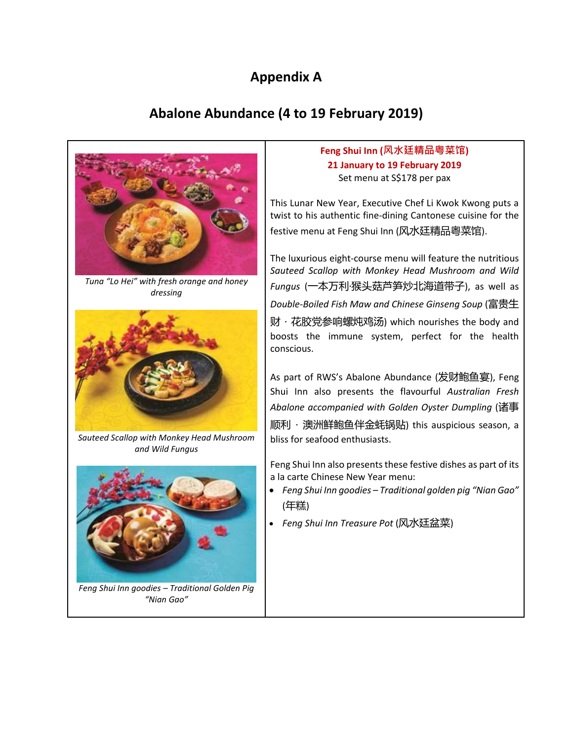## **Appendix A**

## **Abalone Abundance (4 to 19 February 2019)**



*Tuna "Lo Hei" with fresh orange and honey dressing*



*Sauteed Scallop with Monkey Head Mushroom and Wild Fungus*



*Feng Shui Inn goodies – Traditional Golden Pig "Nian Gao"*

## **Feng Shui Inn (风水廷精品粤菜馆) 21 January to 19 February 2019** Set menu at S\$178 per pax

This Lunar New Year, Executive Chef Li Kwok Kwong puts a twist to his authentic fine-dining Cantonese cuisine for the festive menu at Feng Shui Inn (风水廷精品粤菜馆).

The luxurious eight-course menu will feature the nutritious *Sauteed Scallop with Monkey Head Mushroom and Wild Fungus* (一本万利·猴头菇芦笋炒北海道带子), as well as *Double-Boiled Fish Maw and Chinese Ginseng Soup* (富贵生 财 · 花胶党参响螺炖鸡汤) which nourishes the body and boosts the immune system, perfect for the health conscious.

As part of RWS's Abalone Abundance (发财鲍鱼宴), Feng Shui Inn also presents the flavourful *Australian Fresh Abalone accompanied with Golden Oyster Dumpling* (诸事 顺利 · 澳洲鲜鲍鱼伴金蚝锅贴) this auspicious season, a bliss for seafood enthusiasts.

Feng Shui Inn also presents these festive dishes as part of its a la carte Chinese New Year menu:

- *Feng Shui Inn goodies – Traditional golden pig "Nian Gao"*  (年糕)
- *Feng Shui Inn Treasure Pot* (风水廷盆菜)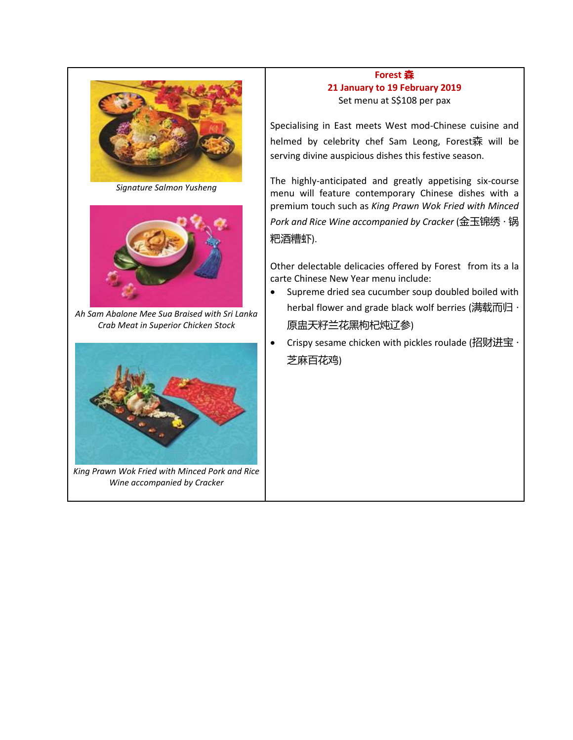

*Signature Salmon Yusheng*



*Ah Sam Abalone Mee Sua Braised with Sri Lanka Crab Meat in Superior Chicken Stock*



*Wine accompanied by Cracker* 

### **Forest** 森 **21 January to 19 February 2019** Set menu at S\$108 per pax

Specialising in East meets West mod-Chinese cuisine and helmed by celebrity chef Sam Leong, Forest森 will be serving divine auspicious dishes this festive season.

The highly-anticipated and greatly appetising six-course menu will feature contemporary Chinese dishes with a premium touch such as *King Prawn Wok Fried with Minced Pork and Rice Wine accompanied by Cracker* (金玉锦绣 · 锅 粑酒糟虾).

Other delectable delicacies offered by Forest from its a la carte Chinese New Year menu include:

- Supreme dried sea cucumber soup doubled boiled with herbal flower and grade black wolf berries (满载而归  $\cdot$ 原盅天籽兰花黑枸杞炖辽参)
- Crispy sesame chicken with pickles roulade (招财进宝 · 芝麻百花鸡)